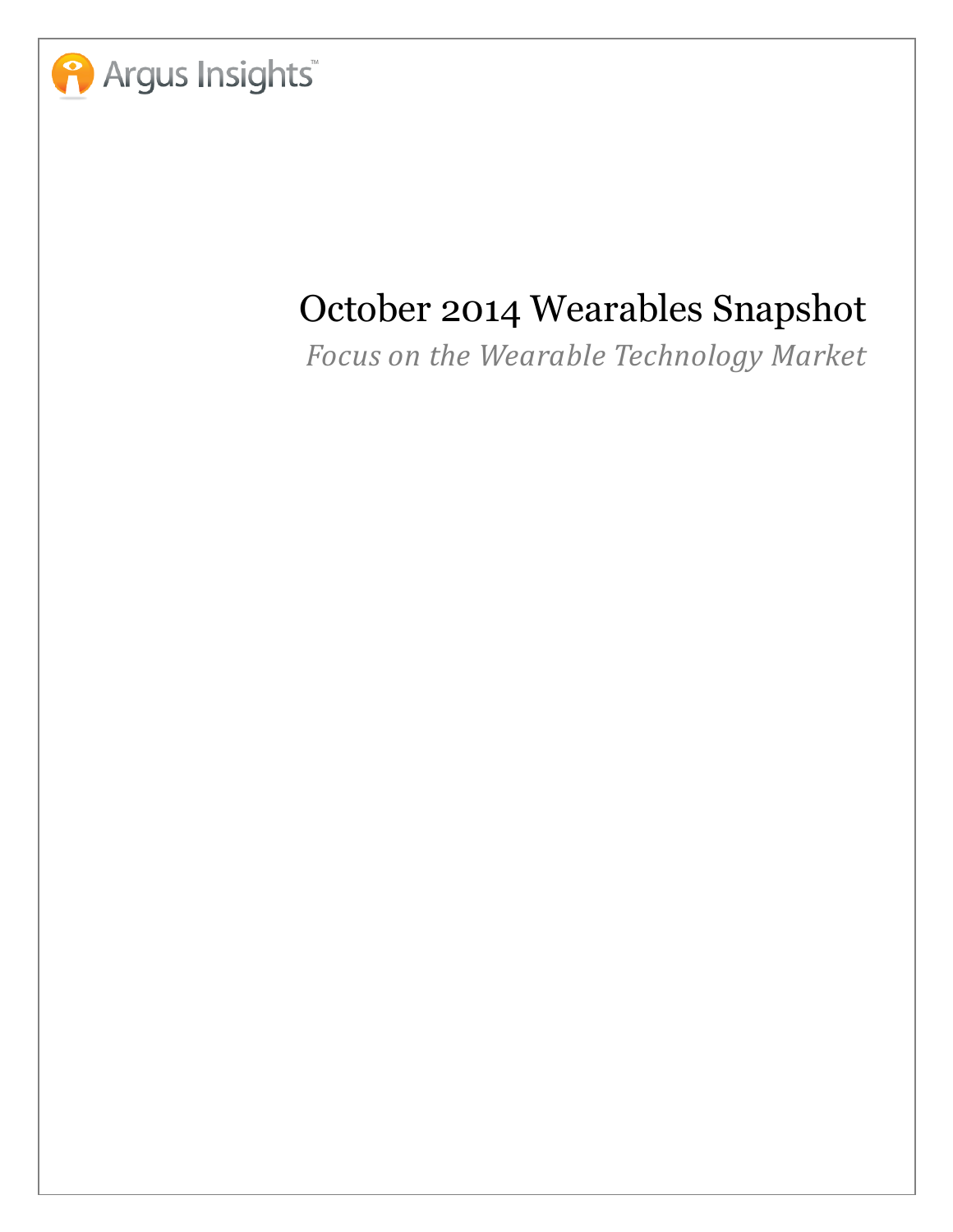

# October 2014 Wearables Snapshot

Focus on the Wearable Technology Market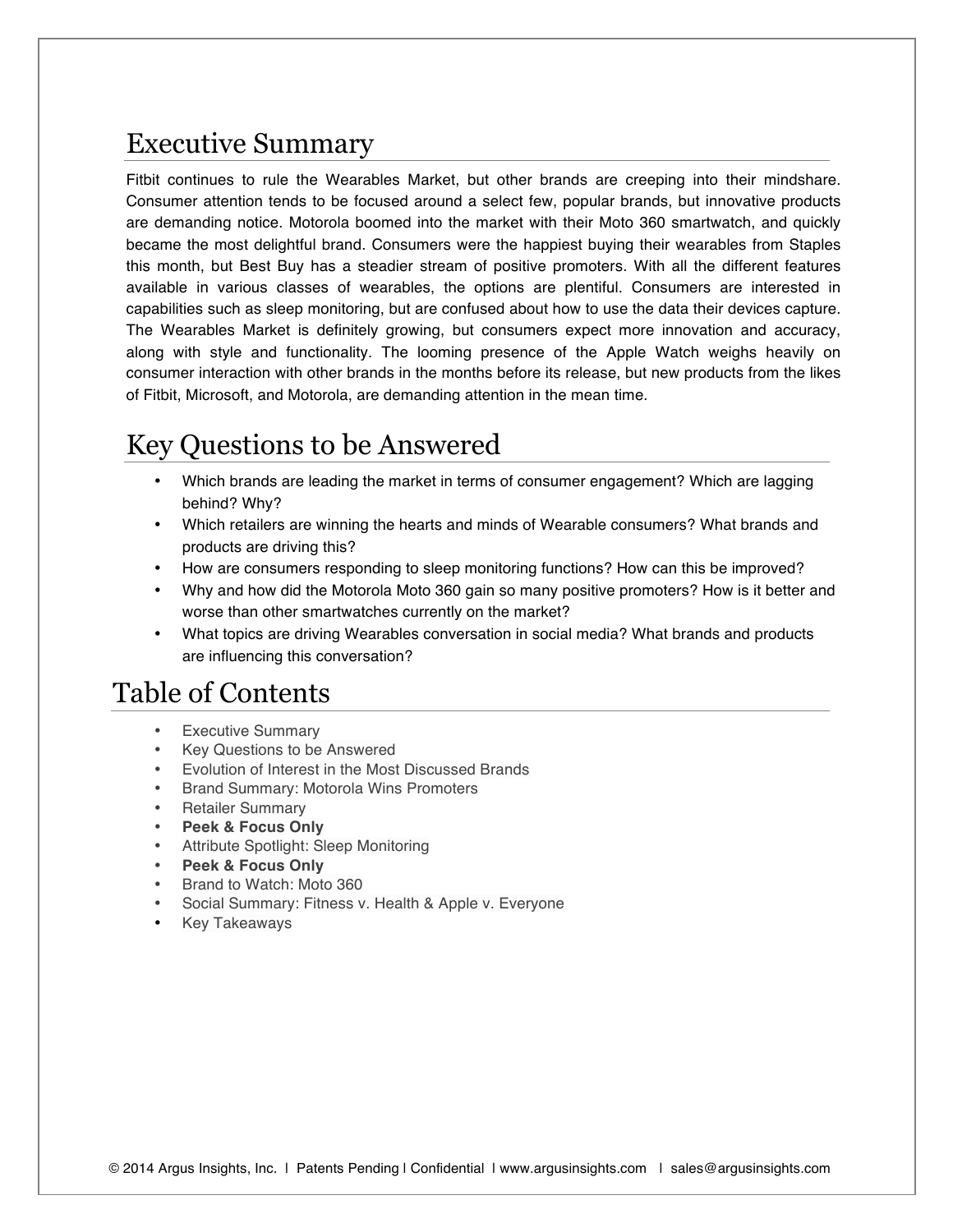#### Executive Summary

Fitbit continues to rule the Wearables Market, but other brands are creeping into their mindshare. Consumer attention tends to be focused around a select few, popular brands, but innovative products are demanding notice. Motorola boomed into the market with their Moto 360 smartwatch, and quickly became the most delightful brand. Consumers were the happiest buying their wearables from Staples this month, but Best Buy has a steadier stream of positive promoters. With all the different features available in various classes of wearables, the options are plentiful. Consumers are interested in capabilities such as sleep monitoring, but are confused about how to use the data their devices capture. The Wearables Market is definitely growing, but consumers expect more innovation and accuracy, along with style and functionality. The looming presence of the Apple Watch weighs heavily on consumer interaction with other brands in the months before its release, but new products from the likes of Fitbit, Microsoft, and Motorola, are demanding attention in the mean time.

## Key Questions to be Answered

- Which brands are leading the market in terms of consumer engagement? Which are lagging behind? Why?
- Which retailers are winning the hearts and minds of Wearable consumers? What brands and products are driving this?
- How are consumers responding to sleep monitoring functions? How can this be improved?
- Why and how did the Motorola Moto 360 gain so many positive promoters? How is it better and worse than other smartwatches currently on the market?
- What topics are driving Wearables conversation in social media? What brands and products are influencing this conversation?

## Table of Contents

- **Executive Summary**
- Key Questions to be Answered
- Evolution of Interest in the Most Discussed Brands
- Brand Summary: Motorola Wins Promoters
- Retailer Summary
- **Peek & Focus Only**
- Attribute Spotlight: Sleep Monitoring
- **Peek & Focus Only**
- Brand to Watch: Moto 360
- Social Summary: Fitness v. Health & Apple v. Everyone
- Key Takeaways